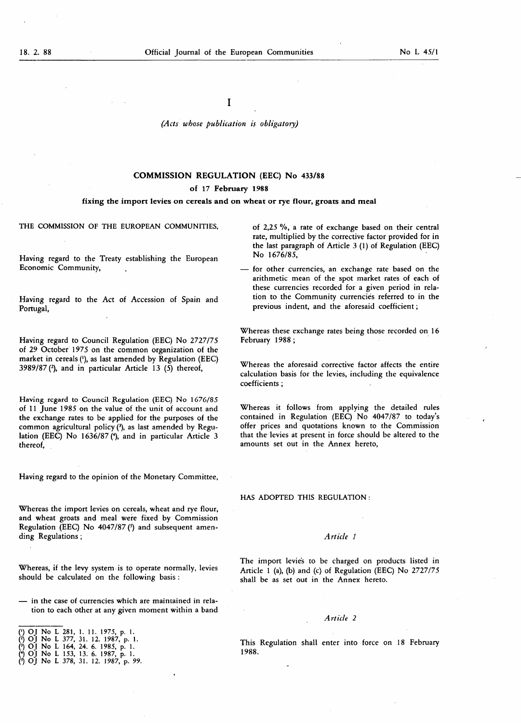I

(Acts whose publication is obligatory)

## COMMISSION REGULATION (EEC) No 433/88

# of 17 February 1988

#### fixing the import levies on cereals and on wheat or rye flour, groats and meal

THE COMMISSION OF THE EUROPEAN COMMUNITIES,

Having regard to the Treaty establishing the European Economic Community,

Having regard to the Act of Accession of Spain and Portugal,

Having regard to Council Regulation (EEC) No 2727/75 of 29 October 1975 on the common organization of the market in cereals ('), as last amended by Regulation (EEC) 3989/87 (2), and in particular Article 13 (5) thereof,

Having regard to Council Regulation (EEC) No 1676/85 of <sup>11</sup> June 1985 on the value of the unit of account and the exchange rates to be applied for the purposes of the common agricultural policy (3), as last amended by Regulation (EEC) No 1636/87 (4), and in particular Article 3 thereof,

Having regard to the opinion of the Monetary Committee,

Whereas the import levies on cereals, wheat and rye flour, and wheat groats and meal were fixed by Commission Regulation (EEC) No  $4047/87$  ( $5$ ) and subsequent amending Regulations ; Article 1

Whereas, if the levy system is to operate normally, levies should be calculated on the following basis :

— in the case of currencies which are maintained in relation to each other at any given moment within a band

 $\binom{1}{1}$  OJ No L 378, 31. 12. 1987, p. 99.

of 2,25 %, a rate of exchange based on their central rate, multiplied by the corrective factor provided for in the last paragraph of Article  $3$  (1) of Regulation (EEC) No 1676/85,

for other currencies, an exchange rate based on the arithmetic mean of the spot market rates of each of these currencies recorded for a given period in relation to the Community currencies referred to in the previous indent, and the aforesaid coefficient ;

Whereas these exchange rates being those recorded on 16 February 1988 ;

Whereas the aforesaid corrective factor affects the entire calculation basis for the levies, including the equivalence coefficients ;

Whereas it follows from applying the detailed rules contained in Regulation (EEC) No 4047/87 to today's offer prices and quotations known to the Commission that the levies at present in force should be altered to the amounts set out in the Annex hereto,

HAS ADOPTED THIS REGULATION :

The import levie's to be charged on products listed in Article <sup>1</sup> (a), (b) and (c) of Regulation (EEC) No 2727/75 shall be as set out in the Annex hereto.

### Article 2

This Regulation shall enter into force on 18 February 1988.

<sup>(&#</sup>x27;) OJ No L 281, 1. 11. 1975, p. 1.<br>(?) OJ No L 377, 31. 12. 1987, p. 1.

<sup>(&</sup>lt;sup>3</sup>) OJ No L 164, 24. 6. 1985, p. 1.

<sup>(\*)</sup> OJ No L 153, 13. 6. 1987, p. 1.